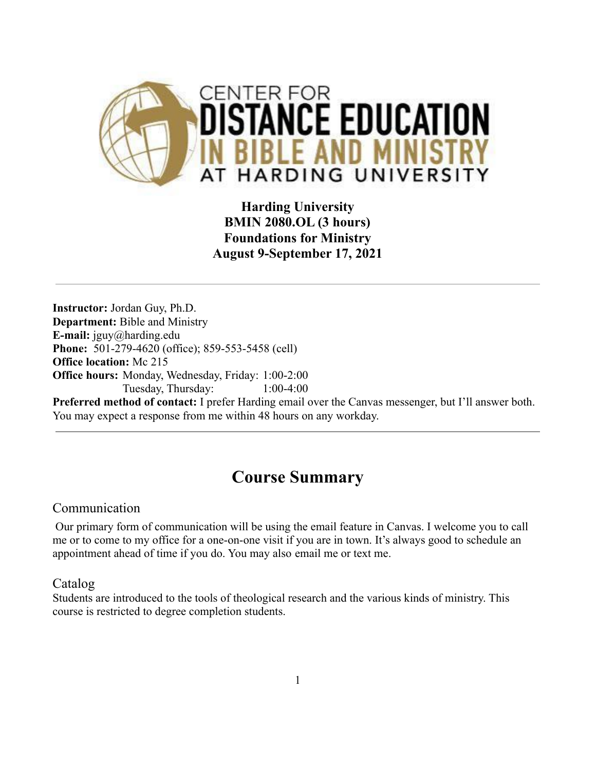

**Harding University BMIN 2080.OL (3 hours) Foundations for Ministry August 9-September 17, 2021**

**Instructor:** Jordan Guy, Ph.D. **Department:** Bible and Ministry **E-mail:** jguy@harding.edu **Phone:** 501-279-4620 (office); 859-553-5458 (cell) **Office location:** Mc 215 **Office hours:** Monday, Wednesday, Friday: 1:00-2:00 Tuesday, Thursday: 1:00-4:00

**Preferred method of contact:** I prefer Harding email over the Canvas messenger, but I'll answer both. You may expect a response from me within 48 hours on any workday.

# **Course Summary**

## Communication

Our primary form of communication will be using the email feature in Canvas. I welcome you to call me or to come to my office for a one-on-one visit if you are in town. It's always good to schedule an appointment ahead of time if you do. You may also email me or text me.

Catalog

Students are introduced to the tools of theological research and the various kinds of ministry. This course is restricted to degree completion students.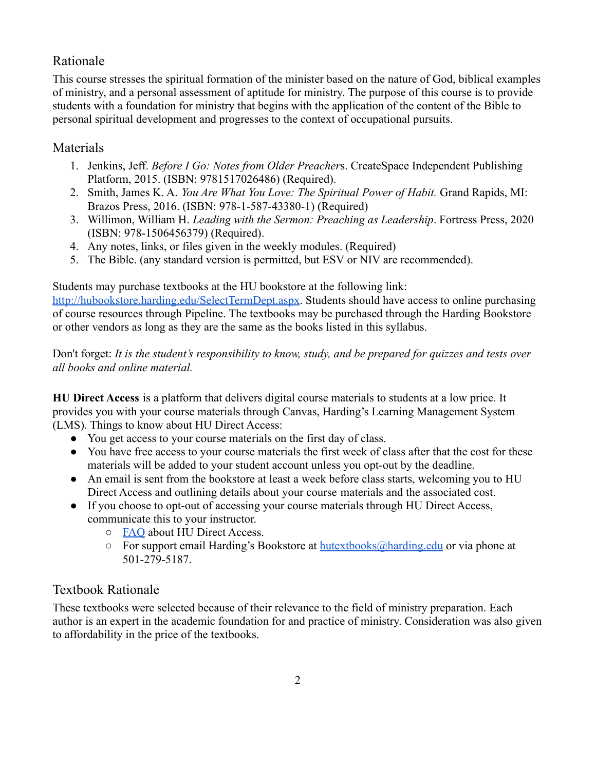## Rationale

This course stresses the spiritual formation of the minister based on the nature of God, biblical examples of ministry, and a personal assessment of aptitude for ministry. The purpose of this course is to provide students with a foundation for ministry that begins with the application of the content of the Bible to personal spiritual development and progresses to the context of occupational pursuits.

## Materials

- 1. Jenkins, Jeff. *Before I Go: Notes from Older Preacher*s. CreateSpace Independent Publishing Platform, 2015. (ISBN: 9781517026486) (Required).
- 2. Smith, James K. A. *You Are What You Love: The Spiritual Power of Habit.* Grand Rapids, MI: Brazos Press, 2016. (ISBN: 978-1-587-43380-1) (Required)
- 3. Willimon, William H. *Leading with the Sermon: Preaching as Leadership*. Fortress Press, 2020 (ISBN: 978-1506456379) (Required).
- 4. Any notes, links, or files given in the weekly modules. (Required)
- 5. The Bible. (any standard version is permitted, but ESV or NIV are recommended).

Students may purchase textbooks at the HU bookstore at the following link:

<http://hubookstore.harding.edu/SelectTermDept.aspx>. Students should have access to online purchasing of course resources through Pipeline. The textbooks may be purchased through the Harding Bookstore or other vendors as long as they are the same as the books listed in this syllabus.

Don't forget: *It is the student's responsibility to know, study, and be prepared for quizzes and tests over all books and online material.*

**HU Direct Access** is a platform that delivers digital course materials to students at a low price. It provides you with your course materials through Canvas, Harding's Learning Management System (LMS). Things to know about HU Direct Access:

- You get access to your course materials on the first day of class.
- You have free access to your course materials the first week of class after that the cost for these materials will be added to your student account unless you opt-out by the deadline.
- An email is sent from the bookstore at least a week before class starts, welcoming you to HU Direct Access and outlining details about your course materials and the associated cost.
- If you choose to opt-out of accessing your course materials through HU Direct Access, communicate this to your instructor.
	- [FAQ](https://drive.google.com/file/d/1hPrNJgpgHCyjLotWhfGvKBU8P4VdTFB8/view?usp=sharing) about HU Direct Access.
	- $\circ$  For support email Harding's Bookstore at [hutextbooks@harding.edu](mailto:hutextbooks@harding.edu) or via phone at 501-279-5187.

# Textbook Rationale

These textbooks were selected because of their relevance to the field of ministry preparation. Each author is an expert in the academic foundation for and practice of ministry. Consideration was also given to affordability in the price of the textbooks.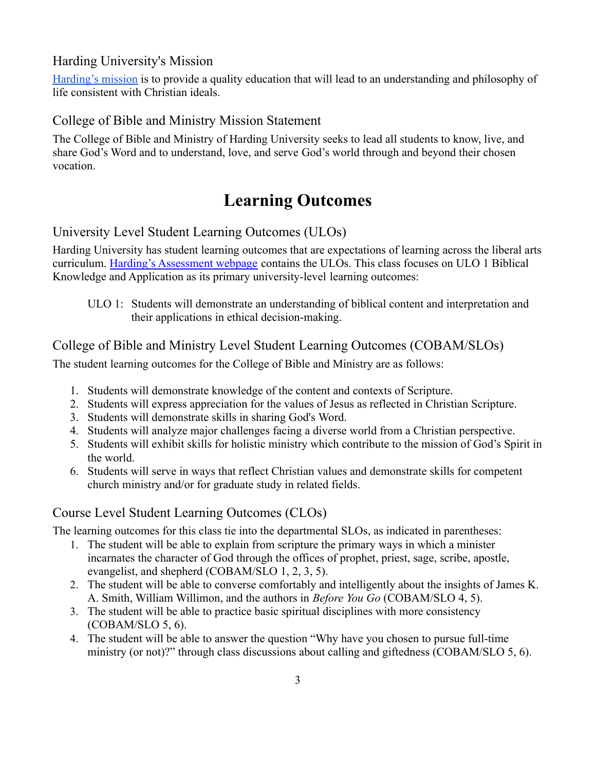## Harding University's Mission

[Harding's mission](https://www.harding.edu/about/mission) is to provide a quality education that will lead to an understanding and philosophy of life consistent with Christian ideals.

#### College of Bible and Ministry Mission Statement

The College of Bible and Ministry of Harding University seeks to lead all students to know, live, and share God's Word and to understand, love, and serve God's world through and beyond their chosen vocation.

# **Learning Outcomes**

## University Level Student Learning Outcomes (ULOs)

Harding University has student learning outcomes that are expectations of learning across the liberal arts curriculum. [Harding's Assessment webpage](https://www.harding.edu/provost/assessment) contains the ULOs. This class focuses on ULO 1 Biblical Knowledge and Application as its primary university-level learning outcomes:

ULO 1: Students will demonstrate an understanding of biblical content and interpretation and their applications in ethical decision-making.

## College of Bible and Ministry Level Student Learning Outcomes (COBAM/SLOs)

The student learning outcomes for the College of Bible and Ministry are as follows:

- 1. Students will demonstrate knowledge of the content and contexts of Scripture.
- 2. Students will express appreciation for the values of Jesus as reflected in Christian Scripture.
- 3. Students will demonstrate skills in sharing God's Word.
- 4. Students will analyze major challenges facing a diverse world from a Christian perspective.
- 5. Students will exhibit skills for holistic ministry which contribute to the mission of God's Spirit in the world.
- 6. Students will serve in ways that reflect Christian values and demonstrate skills for competent church ministry and/or for graduate study in related fields.

## Course Level Student Learning Outcomes (CLOs)

The learning outcomes for this class tie into the departmental SLOs, as indicated in parentheses:

- 1. The student will be able to explain from scripture the primary ways in which a minister incarnates the character of God through the offices of prophet, priest, sage, scribe, apostle, evangelist, and shepherd (COBAM/SLO 1, 2, 3, 5).
- 2. The student will be able to converse comfortably and intelligently about the insights of James K. A. Smith, William Willimon, and the authors in *Before You Go* (COBAM/SLO 4, 5).
- 3. The student will be able to practice basic spiritual disciplines with more consistency (COBAM/SLO 5, 6).
- 4. The student will be able to answer the question "Why have you chosen to pursue full-time ministry (or not)?" through class discussions about calling and giftedness (COBAM/SLO 5, 6).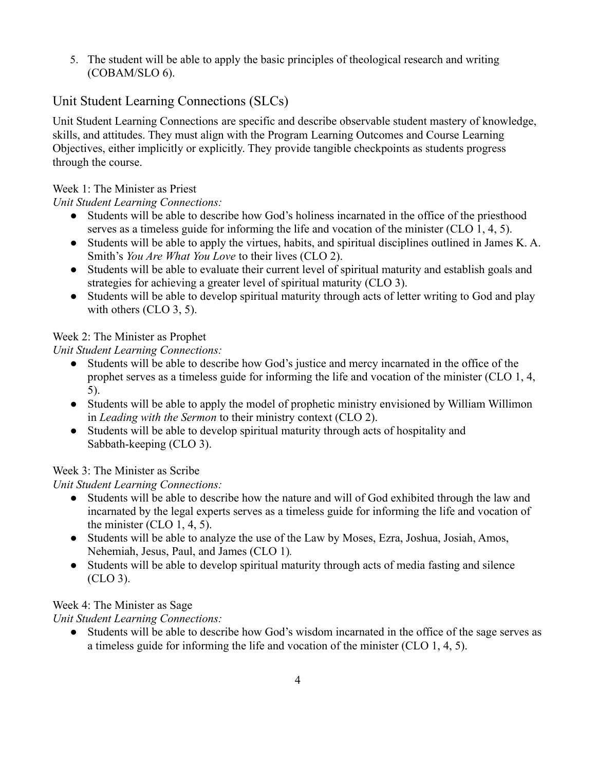5. The student will be able to apply the basic principles of theological research and writing (COBAM/SLO 6).

## Unit Student Learning Connections (SLCs)

Unit Student Learning Connections are specific and describe observable student mastery of knowledge, skills, and attitudes. They must align with the Program Learning Outcomes and Course Learning Objectives, either implicitly or explicitly. They provide tangible checkpoints as students progress through the course.

#### Week 1: The Minister as Priest

#### *Unit Student Learning Connections:*

- Students will be able to describe how God's holiness incarnated in the office of the priesthood serves as a timeless guide for informing the life and vocation of the minister (CLO 1, 4, 5).
- Students will be able to apply the virtues, habits, and spiritual disciplines outlined in James K. A. Smith's *You Are What You Love* to their lives (CLO 2).
- Students will be able to evaluate their current level of spiritual maturity and establish goals and strategies for achieving a greater level of spiritual maturity (CLO 3).
- Students will be able to develop spiritual maturity through acts of letter writing to God and play with others (CLO 3, 5).

#### Week 2: The Minister as Prophet

*Unit Student Learning Connections:*

- Students will be able to describe how God's justice and mercy incarnated in the office of the prophet serves as a timeless guide for informing the life and vocation of the minister (CLO 1, 4, 5).
- Students will be able to apply the model of prophetic ministry envisioned by William Willimon in *Leading with the Sermon* to their ministry context (CLO 2).
- Students will be able to develop spiritual maturity through acts of hospitality and Sabbath-keeping (CLO 3).

## Week 3: The Minister as Scribe

## *Unit Student Learning Connections:*

- Students will be able to describe how the nature and will of God exhibited through the law and incarnated by the legal experts serves as a timeless guide for informing the life and vocation of the minister  $(CLO 1, 4, 5)$ .
- Students will be able to analyze the use of the Law by Moses, Ezra, Joshua, Josiah, Amos, Nehemiah, Jesus, Paul, and James (CLO 1)*.*
- Students will be able to develop spiritual maturity through acts of media fasting and silence (CLO 3).

## Week 4: The Minister as Sage

## *Unit Student Learning Connections:*

● Students will be able to describe how God's wisdom incarnated in the office of the sage serves as a timeless guide for informing the life and vocation of the minister (CLO 1, 4, 5).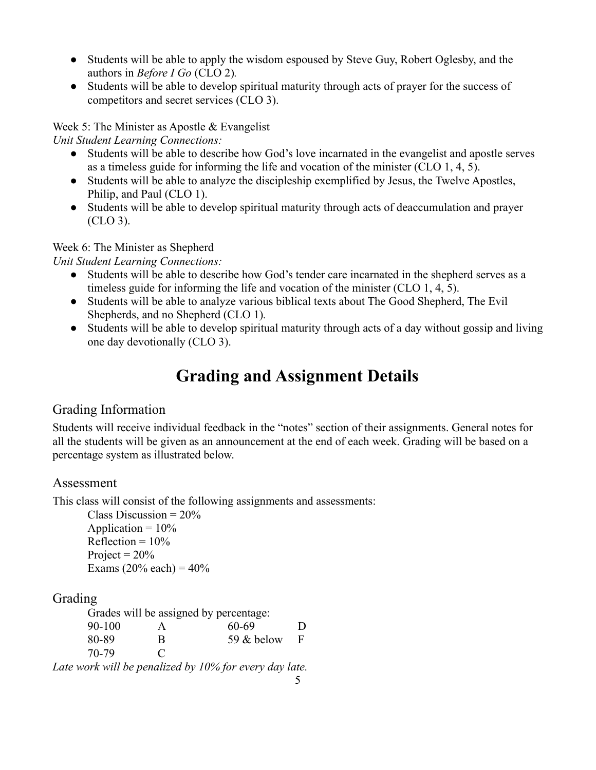- Students will be able to apply the wisdom espoused by Steve Guy, Robert Oglesby, and the authors in *Before I Go* (CLO 2)*.*
- Students will be able to develop spiritual maturity through acts of prayer for the success of competitors and secret services (CLO 3).

Week 5: The Minister as Apostle & Evangelist

*Unit Student Learning Connections:*

- Students will be able to describe how God's love incarnated in the evangelist and apostle serves as a timeless guide for informing the life and vocation of the minister (CLO 1, 4, 5).
- Students will be able to analyze the discipleship exemplified by Jesus, the Twelve Apostles, Philip, and Paul (CLO 1).
- Students will be able to develop spiritual maturity through acts of deaccumulation and prayer (CLO 3).

Week 6: The Minister as Shepherd

*Unit Student Learning Connections:*

- Students will be able to describe how God's tender care incarnated in the shepherd serves as a timeless guide for informing the life and vocation of the minister (CLO 1, 4, 5).
- Students will be able to analyze various biblical texts about The Good Shepherd, The Evil Shepherds, and no Shepherd (CLO 1)*.*
- Students will be able to develop spiritual maturity through acts of a day without gossip and living one day devotionally (CLO 3).

# **Grading and Assignment Details**

# Grading Information

Students will receive individual feedback in the "notes" section of their assignments. General notes for all the students will be given as an announcement at the end of each week. Grading will be based on a percentage system as illustrated below.

# Assessment

This class will consist of the following assignments and assessments:

Class Discussion =  $20\%$ Application  $= 10\%$ Reflection =  $10\%$ Project =  $20\%$ Exams  $(20\% \text{ each}) = 40\%$ 

# Grading

| Grades will be assigned by percentage: |               |            |   |  |  |  |
|----------------------------------------|---------------|------------|---|--|--|--|
| $90-100$                               | А             | 60-69      | Ð |  |  |  |
| 80-89                                  | R             | 59 & below | F |  |  |  |
| 70-79                                  | $\mathcal{C}$ |            |   |  |  |  |

*Late work will be penalized by 10% for every day late.*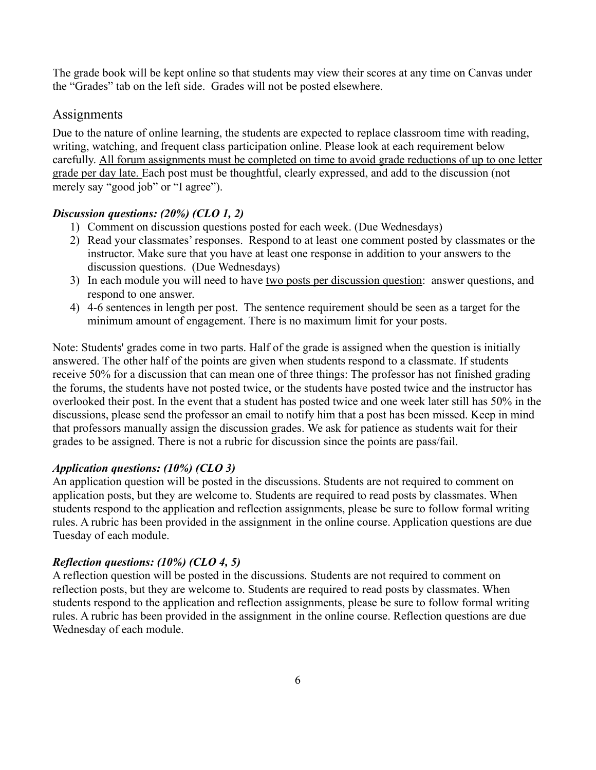The grade book will be kept online so that students may view their scores at any time on Canvas under the "Grades" tab on the left side. Grades will not be posted elsewhere.

#### **Assignments**

Due to the nature of online learning, the students are expected to replace classroom time with reading, writing, watching, and frequent class participation online. Please look at each requirement below carefully. All forum assignments must be completed on time to avoid grade reductions of up to one letter grade per day late. Each post must be thoughtful, clearly expressed, and add to the discussion (not merely say "good job" or "I agree").

#### *Discussion questions: (20%) (CLO 1, 2)*

- 1) Comment on discussion questions posted for each week. (Due Wednesdays)
- 2) Read your classmates' responses. Respond to at least one comment posted by classmates or the instructor. Make sure that you have at least one response in addition to your answers to the discussion questions. (Due Wednesdays)
- 3) In each module you will need to have two posts per discussion question: answer questions, and respond to one answer.
- 4) 4-6 sentences in length per post. The sentence requirement should be seen as a target for the minimum amount of engagement. There is no maximum limit for your posts.

Note: Students' grades come in two parts. Half of the grade is assigned when the question is initially answered. The other half of the points are given when students respond to a classmate. If students receive 50% for a discussion that can mean one of three things: The professor has not finished grading the forums, the students have not posted twice, or the students have posted twice and the instructor has overlooked their post. In the event that a student has posted twice and one week later still has 50% in the discussions, please send the professor an email to notify him that a post has been missed. Keep in mind that professors manually assign the discussion grades. We ask for patience as students wait for their grades to be assigned. There is not a rubric for discussion since the points are pass/fail.

#### *Application questions: (10%) (CLO 3)*

An application question will be posted in the discussions. Students are not required to comment on application posts, but they are welcome to. Students are required to read posts by classmates. When students respond to the application and reflection assignments, please be sure to follow formal writing rules. A rubric has been provided in the assignment in the online course. Application questions are due Tuesday of each module.

#### *Reflection questions: (10%) (CLO 4, 5)*

A reflection question will be posted in the discussions. Students are not required to comment on reflection posts, but they are welcome to. Students are required to read posts by classmates. When students respond to the application and reflection assignments, please be sure to follow formal writing rules. A rubric has been provided in the assignment in the online course. Reflection questions are due Wednesday of each module.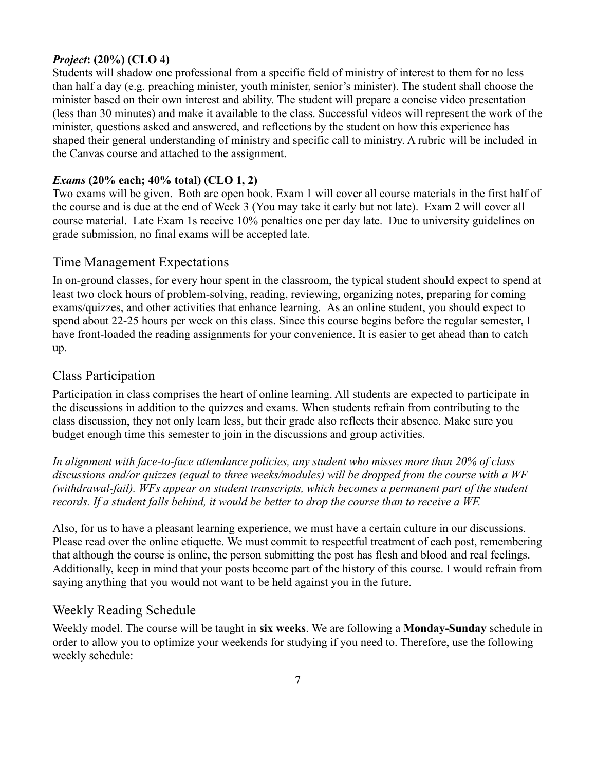#### *Project***: (20%) (CLO 4)**

Students will shadow one professional from a specific field of ministry of interest to them for no less than half a day (e.g. preaching minister, youth minister, senior's minister). The student shall choose the minister based on their own interest and ability. The student will prepare a concise video presentation (less than 30 minutes) and make it available to the class. Successful videos will represent the work of the minister, questions asked and answered, and reflections by the student on how this experience has shaped their general understanding of ministry and specific call to ministry. A rubric will be included in the Canvas course and attached to the assignment.

#### *Exams* **(20% each; 40% total) (CLO 1, 2)**

Two exams will be given. Both are open book. Exam 1 will cover all course materials in the first half of the course and is due at the end of Week 3 (You may take it early but not late). Exam 2 will cover all course material. Late Exam 1s receive 10% penalties one per day late. Due to university guidelines on grade submission, no final exams will be accepted late.

#### Time Management Expectations

In on-ground classes, for every hour spent in the classroom, the typical student should expect to spend at least two clock hours of problem-solving, reading, reviewing, organizing notes, preparing for coming exams/quizzes, and other activities that enhance learning. As an online student, you should expect to spend about 22-25 hours per week on this class. Since this course begins before the regular semester, I have front-loaded the reading assignments for your convenience. It is easier to get ahead than to catch up.

## Class Participation

Participation in class comprises the heart of online learning. All students are expected to participate in the discussions in addition to the quizzes and exams. When students refrain from contributing to the class discussion, they not only learn less, but their grade also reflects their absence. Make sure you budget enough time this semester to join in the discussions and group activities.

*In alignment with face-to-face attendance policies, any student who misses more than 20% of class discussions and/or quizzes (equal to three weeks/modules) will be dropped from the course with a WF (withdrawal-fail). WFs appear on student transcripts, which becomes a permanent part of the student records. If a student falls behind, it would be better to drop the course than to receive a WF.*

Also, for us to have a pleasant learning experience, we must have a certain culture in our discussions. Please read over the online etiquette. We must commit to respectful treatment of each post, remembering that although the course is online, the person submitting the post has flesh and blood and real feelings. Additionally, keep in mind that your posts become part of the history of this course. I would refrain from saying anything that you would not want to be held against you in the future.

#### Weekly Reading Schedule

Weekly model. The course will be taught in **six weeks**. We are following a **Monday-Sunday** schedule in order to allow you to optimize your weekends for studying if you need to. Therefore, use the following weekly schedule: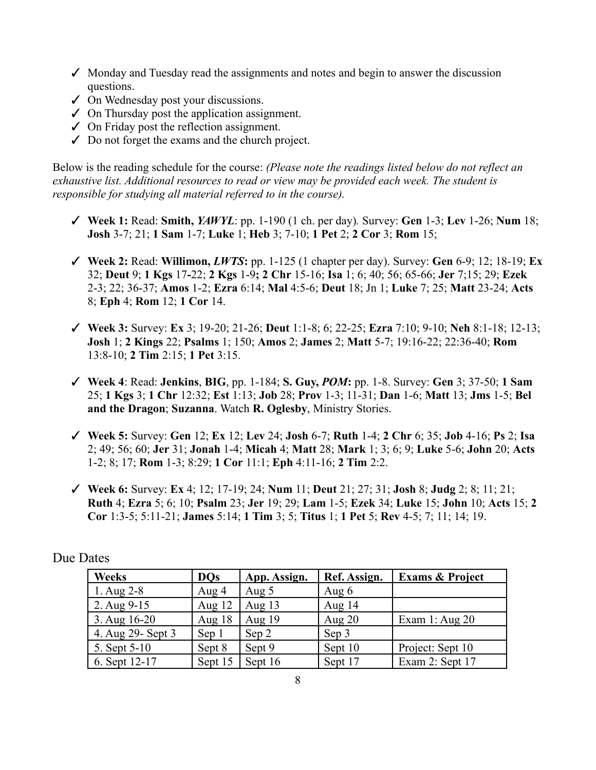- $\checkmark$  Monday and Tuesday read the assignments and notes and begin to answer the discussion questions.
- ✓ On Wednesday post your discussions.
- $\checkmark$  On Thursday post the application assignment.
- ✓ On Friday post the reflection assignment.
- $\angle$  Do not forget the exams and the church project.

Below is the reading schedule for the course: *(Please note the readings listed below do not reflect an exhaustive list. Additional resources to read or view may be provided each week. The student is responsible for studying all material referred to in the course).*

- ✓ **Week 1:** Read: **Smith,** *YAWYL*: pp. 1-190 (1 ch. per day)*.* Survey: **Gen** 1-3; **Lev** 1-26; **Num** 18; **Josh** 3-7; 21; **1 Sam** 1-7; **Luke** 1; **Heb** 3; 7-10; **1 Pet** 2; **2 Cor** 3; **Rom** 15;
- ✓ **Week 2:** Read: **Willimon,** *LWTS***:** pp. 1-125 (1 chapter per day). Survey: **Gen** 6-9; 12; 18-19; **Ex** 32; **Deut** 9; **1 Kgs** 17**-**22; **2 Kgs** 1-9**; 2 Chr** 15-16; **Isa** 1; 6; 40; 56; 65-66; **Jer** 7;15; 29; **Ezek** 2-3; 22; 36-37; **Amos** 1-2; **Ezra** 6:14; **Mal** 4:5-6; **Deut** 18; Jn 1; **Luke** 7; 25; **Matt** 23-24; **Acts** 8; **Eph** 4; **Rom** 12; **1 Cor** 14.
- ✓ **Week 3:** Survey: **Ex** 3; 19-20; 21-26; **Deut** 1:1-8; 6; 22-25; **Ezra** 7:10; 9-10; **Neh** 8:1-18; 12-13; **Josh** 1; **2 Kings** 22; **Psalms** 1; 150; **Amos** 2; **James** 2; **Matt** 5-7; 19:16-22; 22:36-40; **Rom** 13:8-10; **2 Tim** 2:15; **1 Pet** 3:15.
- ✓ **Week 4**: Read: **Jenkins**, **BIG**, pp. 1-184; **S. Guy,** *POM***:** pp. 1-8. Survey: **Gen** 3; 37-50; **1 Sam** 25; **1 Kgs** 3; **1 Chr** 12:32; **Est** 1:13; **Job** 28; **Prov** 1-3; 11-31; **Dan** 1-6; **Matt** 13; **Jms** 1-5; **Bel and the Dragon**; **Suzanna**. Watch **R. Oglesby**, Ministry Stories.
- ✓ **Week 5:** Survey: **Gen** 12; **Ex** 12; **Lev** 24; **Josh** 6-7; **Ruth** 1-4; **2 Chr** 6; 35; **Job** 4-16; **Ps** 2; **Isa** 2; 49; 56; 60; **Jer** 31; **Jonah** 1-4; **Micah** 4; **Matt** 28; **Mark** 1; 3; 6; 9; **Luke** 5-6; **John** 20; **Acts** 1-2; 8; 17; **Rom** 1-3; 8:29; **1 Cor** 11:1; **Eph** 4:11-16; **2 Tim** 2:2.
- ✓ **Week 6:** Survey: **Ex** 4; 12; 17-19; 24; **Num** 11; **Deut** 21; 27; 31; **Josh** 8; **Judg** 2; 8; 11; 21; **Ruth** 4; **Ezra** 5; 6; 10; **Psalm** 23; **Jer** 19; 29; **Lam** 1-5; **Ezek** 34; **Luke** 15; **John** 10; **Acts** 15; **2 Cor** 1:3-5; 5:11-21; **James** 5:14; **1 Tim** 3; 5; **Titus** 1; **1 Pet** 5; **Rev** 4-5; 7; 11; 14; 19.

| <b>Weeks</b>       | <b>DOs</b> | App. Assign. | Ref. Assign. | <b>Exams &amp; Project</b> |
|--------------------|------------|--------------|--------------|----------------------------|
| 1. Aug $2-8$       | Aug $4$    | Aug $5$      | Aug $6$      |                            |
| 2. Aug 9-15        | Aug $12$   | Aug $13$     | Aug $14$     |                            |
| 3. Aug $16-20$     | Aug $18$   | Aug $19$     | Aug $20$     | Exam 1: Aug $20$           |
| 4. Aug 29 - Sept 3 | Sep 1      | Sep 2        | Sep 3        |                            |
| 5. Sept 5-10       | Sept 8     | Sept 9       | Sept 10      | Project: Sept 10           |
| 6. Sept 12-17      | Sept 15    | Sept 16      | Sept 17      | Exam 2: Sept 17            |

#### Due Dates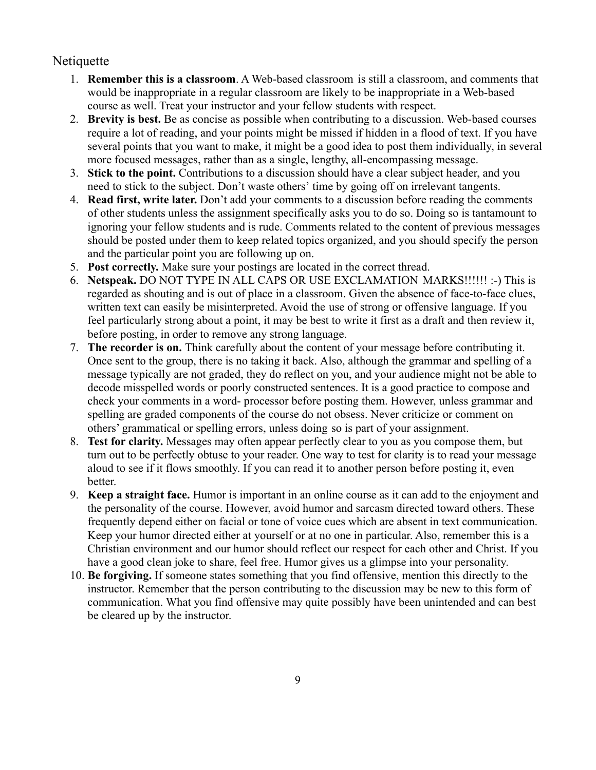## Netiquette

- 1. **Remember this is a classroom**. A Web-based classroom is still a classroom, and comments that would be inappropriate in a regular classroom are likely to be inappropriate in a Web-based course as well. Treat your instructor and your fellow students with respect.
- 2. **Brevity is best.** Be as concise as possible when contributing to a discussion. Web-based courses require a lot of reading, and your points might be missed if hidden in a flood of text. If you have several points that you want to make, it might be a good idea to post them individually, in several more focused messages, rather than as a single, lengthy, all-encompassing message.
- 3. **Stick to the point.** Contributions to a discussion should have a clear subject header, and you need to stick to the subject. Don't waste others' time by going off on irrelevant tangents.
- 4. **Read first, write later.** Don't add your comments to a discussion before reading the comments of other students unless the assignment specifically asks you to do so. Doing so is tantamount to ignoring your fellow students and is rude. Comments related to the content of previous messages should be posted under them to keep related topics organized, and you should specify the person and the particular point you are following up on.
- 5. **Post correctly.** Make sure your postings are located in the correct thread.
- 6. **Netspeak.** DO NOT TYPE IN ALL CAPS OR USE EXCLAMATION MARKS!!!!!! :-) This is regarded as shouting and is out of place in a classroom. Given the absence of face-to-face clues, written text can easily be misinterpreted. Avoid the use of strong or offensive language. If you feel particularly strong about a point, it may be best to write it first as a draft and then review it, before posting, in order to remove any strong language.
- 7. **The recorder is on.** Think carefully about the content of your message before contributing it. Once sent to the group, there is no taking it back. Also, although the grammar and spelling of a message typically are not graded, they do reflect on you, and your audience might not be able to decode misspelled words or poorly constructed sentences. It is a good practice to compose and check your comments in a word- processor before posting them. However, unless grammar and spelling are graded components of the course do not obsess. Never criticize or comment on others' grammatical or spelling errors, unless doing so is part of your assignment.
- 8. **Test for clarity.** Messages may often appear perfectly clear to you as you compose them, but turn out to be perfectly obtuse to your reader. One way to test for clarity is to read your message aloud to see if it flows smoothly. If you can read it to another person before posting it, even better.
- 9. **Keep a straight face.** Humor is important in an online course as it can add to the enjoyment and the personality of the course. However, avoid humor and sarcasm directed toward others. These frequently depend either on facial or tone of voice cues which are absent in text communication. Keep your humor directed either at yourself or at no one in particular. Also, remember this is a Christian environment and our humor should reflect our respect for each other and Christ. If you have a good clean joke to share, feel free. Humor gives us a glimpse into your personality.
- 10. **Be forgiving.** If someone states something that you find offensive, mention this directly to the instructor. Remember that the person contributing to the discussion may be new to this form of communication. What you find offensive may quite possibly have been unintended and can best be cleared up by the instructor.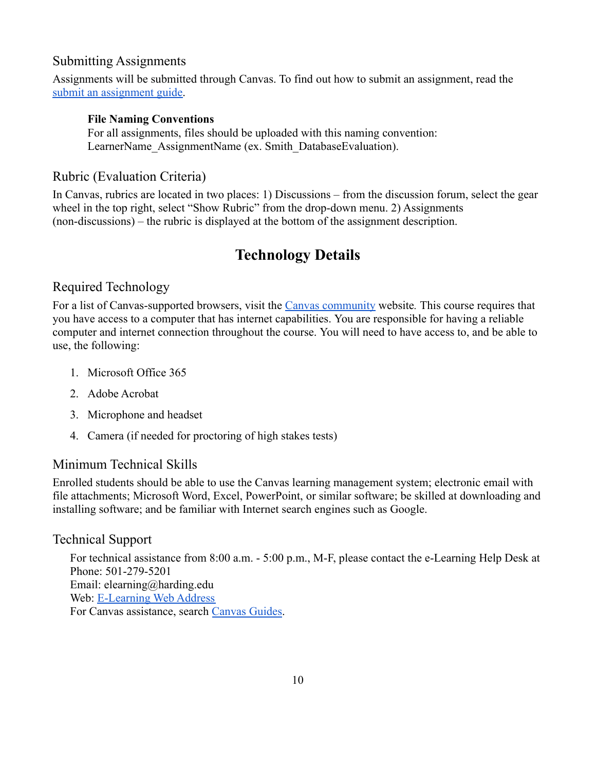## Submitting Assignments

Assignments will be submitted through Canvas. To find out how to submit an assignment, read th[e](https://community.canvaslms.com/t5/Student-Guide/How-do-I-submit-an-online-assignment/ta-p/503) [submit an assignment guide.](https://community.canvaslms.com/t5/Student-Guide/How-do-I-submit-an-online-assignment/ta-p/503)

#### **File Naming Conventions**

For all assignments, files should be uploaded with this naming convention: LearnerName AssignmentName (ex. Smith DatabaseEvaluation).

## Rubric (Evaluation Criteria)

In Canvas, rubrics are located in two places: 1) Discussions – from the discussion forum, select the gear wheel in the top right, select "Show Rubric" from the drop-down menu. 2) Assignments (non-discussions) – the rubric is displayed at the bottom of the assignment description.

# **Technology Details**

## Required Technology

For a list of Canvas-supported browsers, visit the [Canvas community](https://community.canvaslms.com/docs/doc-10720) website*.* This course requires that you have access to a computer that has internet capabilities. You are responsible for having a reliable computer and internet connection throughout the course. You will need to have access to, and be able to use, the following:

- 1. Microsoft Office 365
- 2. Adobe Acrobat
- 3. Microphone and headset
- 4. Camera (if needed for proctoring of high stakes tests)

## Minimum Technical Skills

Enrolled students should be able to use the Canvas learning management system; electronic email with file attachments; Microsoft Word, Excel, PowerPoint, or similar software; be skilled at downloading and installing software; and be familiar with Internet search engines such as Google.

## Technical Support

For technical assistance from 8:00 a.m. - 5:00 p.m., M-F, please contact the e-Learning Help Desk at Phone: 501-279-5201 Email: elearning@harding.edu Web: [E-Learning Web Address](http://www.harding.edu/elm) For Canvas assistance, search [Canvas Guides.](https://guides.instructure.com/m/8470)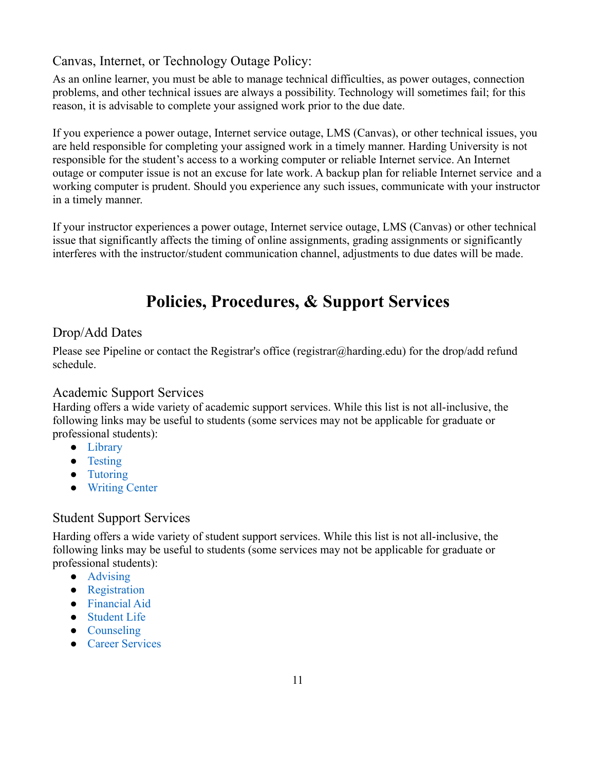## Canvas, Internet, or Technology Outage Policy:

As an online learner, you must be able to manage technical difficulties, as power outages, connection problems, and other technical issues are always a possibility. Technology will sometimes fail; for this reason, it is advisable to complete your assigned work prior to the due date.

If you experience a power outage, Internet service outage, LMS (Canvas), or other technical issues, you are held responsible for completing your assigned work in a timely manner. Harding University is not responsible for the student's access to a working computer or reliable Internet service. An Internet outage or computer issue is not an excuse for late work. A backup plan for reliable Internet service and a working computer is prudent. Should you experience any such issues, communicate with your instructor in a timely manner.

If your instructor experiences a power outage, Internet service outage, LMS (Canvas) or other technical issue that significantly affects the timing of online assignments, grading assignments or significantly interferes with the instructor/student communication channel, adjustments to due dates will be made.

# **Policies, Procedures, & Support Services**

## Drop/Add Dates

Please see Pipeline or contact the Registrar's office (registrar@harding.edu) for the drop/add refund schedule.

## Academic Support Services

Harding offers a wide variety of academic support services. While this list is not all-inclusive, the following links may be useful to students (some services may not be applicable for graduate or professional students):

- [Library](https://library.harding.edu/index)
- [Testing](https://www.harding.edu/testing)
- [Tutoring](https://www.harding.edu/academics/academic-support/arc)
- [Writing Center](https://www.harding.edu/academics/colleges-departments/arts-humanities/english/writing-lab)

## Student Support Services

Harding offers a wide variety of student support services. While this list is not all-inclusive, the following links may be useful to students (some services may not be applicable for graduate or professional students):

- [Advising](https://catalog.harding.edu/preview_program.php?catoid=46&poid=6988&hl=%22advising%22&returnto=search)
- [Registration](https://www.harding.edu/registrar/registration)
- [Financial Aid](https://www.harding.edu/finaid)
- [Student Life](https://www.harding.edu/student-life)
- [Counseling](https://www.harding.edu/academics/academic-support/counseling-center)
- [Career Services](https://www.harding.edu/academics/academic-support/career)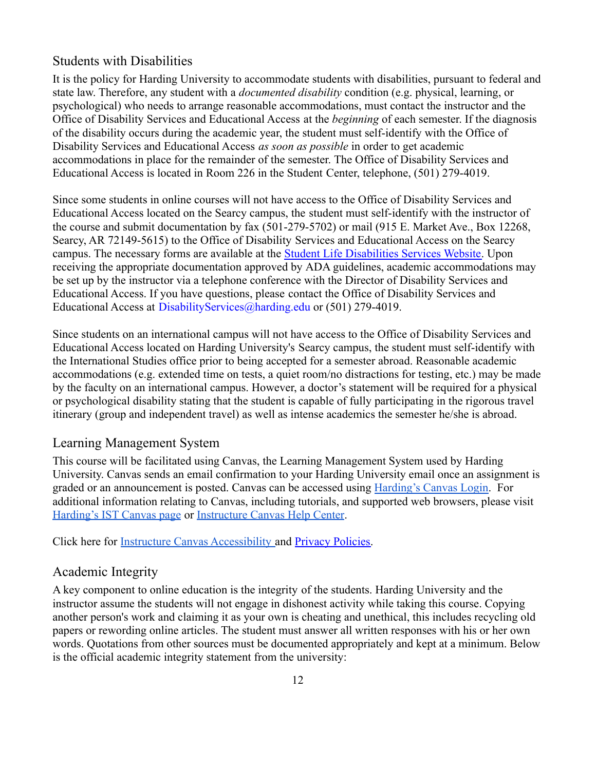#### Students with Disabilities

It is the policy for Harding University to accommodate students with disabilities, pursuant to federal and state law. Therefore, any student with a *documented disability* condition (e.g. physical, learning, or psychological) who needs to arrange reasonable accommodations, must contact the instructor and the Office of Disability Services and Educational Access at the *beginning* of each semester. If the diagnosis of the disability occurs during the academic year, the student must self-identify with the Office of Disability Services and Educational Access *as soon as possible* in order to get academic accommodations in place for the remainder of the semester. The Office of Disability Services and Educational Access is located in Room 226 in the Student Center, telephone, (501) 279-4019.

Since some students in online courses will not have access to the Office of Disability Services and Educational Access located on the Searcy campus, the student must self-identify with the instructor of the course and submit documentation by fax (501-279-5702) or mail (915 E. Market Ave., Box 12268, Searcy, AR 72149-5615) to the Office of Disability Services and Educational Access on the Searcy campus. The necessary forms are available at the Student [Life Disabilities Services Website.](https://www.harding.edu/student-life/disabilityservices) Upon receiving the appropriate documentation approved by ADA guidelines, academic accommodations may be set up by the instructor via a telephone conference with the Director of Disability Services and Educational Access. If you have questions, please contact the Office of Disability Services and Educational Access at DisabilityServices@harding.edu or (501) 279-4019.

Since students on an international campus will not have access to the Office of Disability Services and Educational Access located on Harding University's Searcy campus, the student must self-identify with the International Studies office prior to being accepted for a semester abroad. Reasonable academic accommodations (e.g. extended time on tests, a quiet room/no distractions for testing, etc.) may be made by the faculty on an international campus. However, a doctor's statement will be required for a physical or psychological disability stating that the student is capable of fully participating in the rigorous travel itinerary (group and independent travel) as well as intense academics the semester he/she is abroad.

#### Learning Management System

This course will be facilitated using Canvas, the Learning Management System used by Harding University. Canvas sends an email confirmation to your Harding University email once an assignment is graded or an announcement is posted. Canvas can be accessed using [Harding's Canvas Login.](https://harding.instructure.com/login) For additional information relating to Canvas, including tutorials, and supported web browsers, please visit [Harding's IST Canvas page](https://www.harding.edu/ist/canvas) or [Instructure Canvas Help](https://community.canvaslms.com/docs/DOC-10461-supported-web-browsers) Center.

Click here for [Instructure Canvas Accessibility](https://www.canvaslms.com/accessibility) and [Privacy Policies.](https://www.instructure.com/policies/privacy)

#### Academic Integrity

A key component to online education is the integrity of the students. Harding University and the instructor assume the students will not engage in dishonest activity while taking this course. Copying another person's work and claiming it as your own is cheating and unethical, this includes recycling old papers or rewording online articles. The student must answer all written responses with his or her own words. Quotations from other sources must be documented appropriately and kept at a minimum. Below is the official academic integrity statement from the university: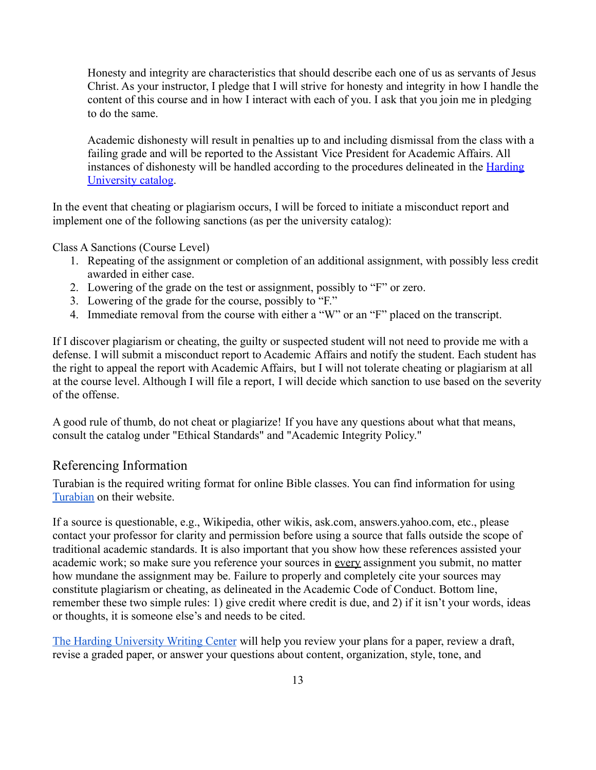Honesty and integrity are characteristics that should describe each one of us as servants of Jesus Christ. As your instructor, I pledge that I will strive for honesty and integrity in how I handle the content of this course and in how I interact with each of you. I ask that you join me in pledging to do the same.

Academic dishonesty will result in penalties up to and including dismissal from the class with a failing grade and will be reported to the Assistant Vice President for Academic Affairs. All instances of dishonesty will be handled according to the procedures delineated in the [Harding](https://catalog.harding.edu/content.php?catoid=46&navoid=3659) [University catalog](https://catalog.harding.edu/content.php?catoid=46&navoid=3659).

In the event that cheating or plagiarism occurs, I will be forced to initiate a misconduct report and implement one of the following sanctions (as per the university catalog):

Class A Sanctions (Course Level)

- 1. Repeating of the assignment or completion of an additional assignment, with possibly less credit awarded in either case.
- 2. Lowering of the grade on the test or assignment, possibly to "F" or zero.
- 3. Lowering of the grade for the course, possibly to "F."
- 4. Immediate removal from the course with either a "W" or an "F" placed on the transcript.

If I discover plagiarism or cheating, the guilty or suspected student will not need to provide me with a defense. I will submit a misconduct report to Academic Affairs and notify the student. Each student has the right to appeal the report with Academic Affairs, but I will not tolerate cheating or plagiarism at all at the course level. Although I will file a report, I will decide which sanction to use based on the severity of the offense.

A good rule of thumb, do not cheat or plagiarize! If you have any questions about what that means, consult the catalog under "Ethical Standards" and "Academic Integrity Policy."

#### Referencing Information

Turabian is the required writing format for online Bible classes. You can find information for using [Turabian](https://www.chicagomanualofstyle.org/turabian/citation-guide.html) on their website.

If a source is questionable, e.g., Wikipedia, other wikis, ask.com, answers.yahoo.com, etc., please contact your professor for clarity and permission before using a source that falls outside the scope of traditional academic standards. It is also important that you show how these references assisted your academic work; so make sure you reference your sources in every assignment you submit, no matter how mundane the assignment may be. Failure to properly and completely cite your sources may constitute plagiarism or cheating, as delineated in the Academic Code of Conduct. Bottom line, remember these two simple rules: 1) give credit where credit is due, and 2) if it isn't your words, ideas or thoughts, it is someone else's and needs to be cited.

[The Harding University Writing Center](https://www.harding.edu/academics/colleges-departments/arts-humanities/english/writing-lab) will help you review your plans for a paper, review a draft, revise a graded paper, or answer your questions about content, organization, style, tone, and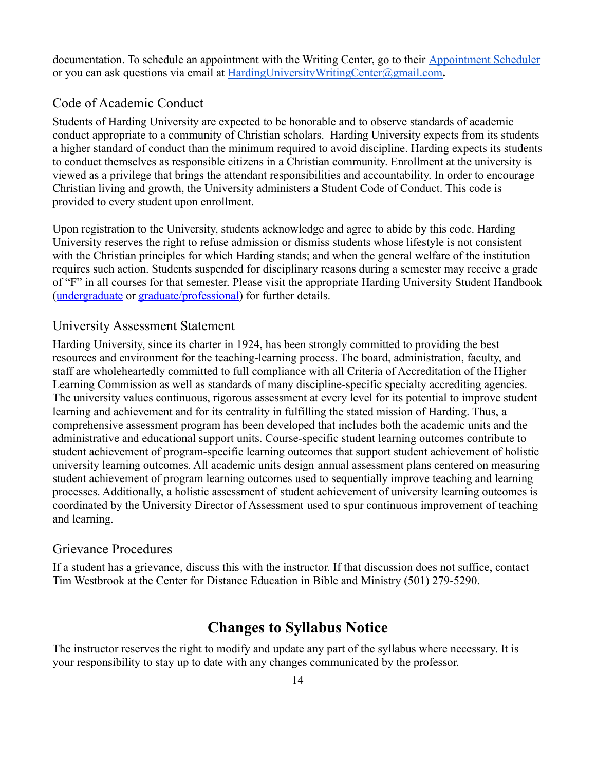documentation. To schedule an appointment with the Writing Center, go to their [Appointment Scheduler](https://harding.mywconline.com/) or you can ask questions via email at [HardingUniversityWritingCenter@gmail.com](mailto:HardingUniversityWritingCenter@gmail.com)**.**

#### Code of Academic Conduct

Students of Harding University are expected to be honorable and to observe standards of academic conduct appropriate to a community of Christian scholars. Harding University expects from its students a higher standard of conduct than the minimum required to avoid discipline. Harding expects its students to conduct themselves as responsible citizens in a Christian community. Enrollment at the university is viewed as a privilege that brings the attendant responsibilities and accountability. In order to encourage Christian living and growth, the University administers a Student Code of Conduct. This code is provided to every student upon enrollment.

Upon registration to the University, students acknowledge and agree to abide by this code. Harding University reserves the right to refuse admission or dismiss students whose lifestyle is not consistent with the Christian principles for which Harding stands; and when the general welfare of the institution requires such action. Students suspended for disciplinary reasons during a semester may receive a grade of "F" in all courses for that semester. Please visit the appropriate Harding University Student Handbook ([undergraduate](https://www.harding.edu/assets/www/student-life/pdf/student_handbook.pdf) or [graduate/professional\)](https://www.harding.edu/assets/www/academics/colleges-departments/graduate-professional/pdf/graduateprofessional_handbook.pdf) for further details.

#### University Assessment Statement

Harding University, since its charter in 1924, has been strongly committed to providing the best resources and environment for the teaching-learning process. The board, administration, faculty, and staff are wholeheartedly committed to full compliance with all Criteria of Accreditation of the Higher Learning Commission as well as standards of many discipline-specific specialty accrediting agencies. The university values continuous, rigorous assessment at every level for its potential to improve student learning and achievement and for its centrality in fulfilling the stated mission of Harding. Thus, a comprehensive assessment program has been developed that includes both the academic units and the administrative and educational support units. Course-specific student learning outcomes contribute to student achievement of program-specific learning outcomes that support student achievement of holistic university learning outcomes. All academic units design annual assessment plans centered on measuring student achievement of program learning outcomes used to sequentially improve teaching and learning processes. Additionally, a holistic assessment of student achievement of university learning outcomes is coordinated by the University Director of Assessment used to spur continuous improvement of teaching and learning.

#### Grievance Procedures

If a student has a grievance, discuss this with the instructor. If that discussion does not suffice, contact Tim Westbrook at the Center for Distance Education in Bible and Ministry (501) 279-5290.

# **Changes to Syllabus Notice**

The instructor reserves the right to modify and update any part of the syllabus where necessary. It is your responsibility to stay up to date with any changes communicated by the professor.